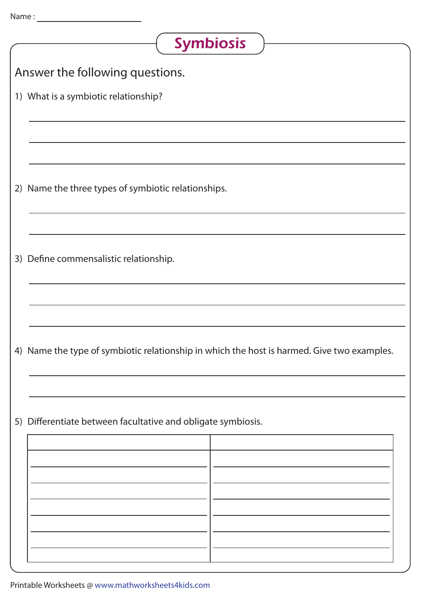| <b>Symbiosis</b>                                                                           |
|--------------------------------------------------------------------------------------------|
| Answer the following questions.                                                            |
| 1) What is a symbiotic relationship?                                                       |
|                                                                                            |
|                                                                                            |
| 2) Name the three types of symbiotic relationships.                                        |
|                                                                                            |
| 3) Define commensalistic relationship.                                                     |
|                                                                                            |
|                                                                                            |
| 4) Name the type of symbiotic relationship in which the host is harmed. Give two examples. |
|                                                                                            |
| 5) Differentiate between facultative and obligate symbiosis.                               |
|                                                                                            |
|                                                                                            |
|                                                                                            |
|                                                                                            |
|                                                                                            |